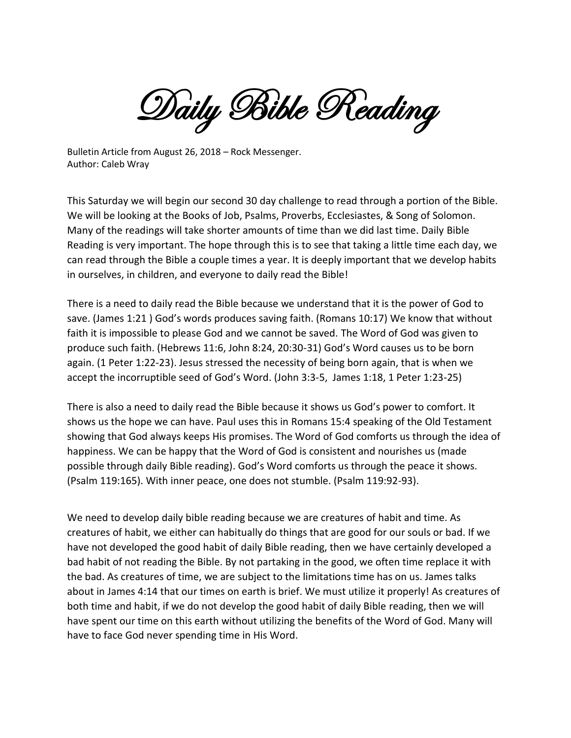Daily Bible Reading

Bulletin Article from August 26, 2018 – Rock Messenger. Author: Caleb Wray

This Saturday we will begin our second 30 day challenge to read through a portion of the Bible. We will be looking at the Books of Job, Psalms, Proverbs, Ecclesiastes, & Song of Solomon. Many of the readings will take shorter amounts of time than we did last time. Daily Bible Reading is very important. The hope through this is to see that taking a little time each day, we can read through the Bible a couple times a year. It is deeply important that we develop habits in ourselves, in children, and everyone to daily read the Bible!

There is a need to daily read the Bible because we understand that it is the power of God to save. (James 1:21 ) God's words produces saving faith. (Romans 10:17) We know that without faith it is impossible to please God and we cannot be saved. The Word of God was given to produce such faith. (Hebrews 11:6, John 8:24, 20:30-31) God's Word causes us to be born again. (1 Peter 1:22-23). Jesus stressed the necessity of being born again, that is when we accept the incorruptible seed of God's Word. (John 3:3-5, James 1:18, 1 Peter 1:23-25)

There is also a need to daily read the Bible because it shows us God's power to comfort. It shows us the hope we can have. Paul uses this in Romans 15:4 speaking of the Old Testament showing that God always keeps His promises. The Word of God comforts us through the idea of happiness. We can be happy that the Word of God is consistent and nourishes us (made possible through daily Bible reading). God's Word comforts us through the peace it shows. (Psalm 119:165). With inner peace, one does not stumble. (Psalm 119:92-93).

We need to develop daily bible reading because we are creatures of habit and time. As creatures of habit, we either can habitually do things that are good for our souls or bad. If we have not developed the good habit of daily Bible reading, then we have certainly developed a bad habit of not reading the Bible. By not partaking in the good, we often time replace it with the bad. As creatures of time, we are subject to the limitations time has on us. James talks about in James 4:14 that our times on earth is brief. We must utilize it properly! As creatures of both time and habit, if we do not develop the good habit of daily Bible reading, then we will have spent our time on this earth without utilizing the benefits of the Word of God. Many will have to face God never spending time in His Word.